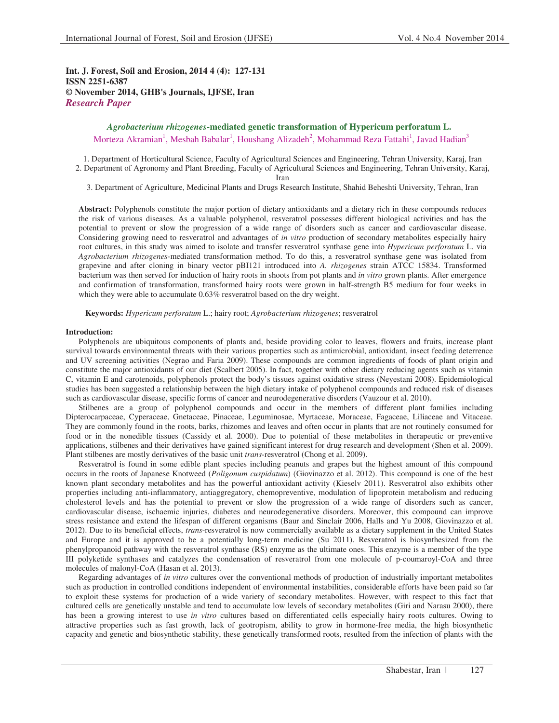**Int. J. Forest, Soil and Erosion, 2014 4 (4): 127-131 ISSN 2251-6387 © November 2014, GHB's Journals, IJFSE, Iran** *Research Paper*

## *Agrobacterium rhizogenes***-mediated genetic transformation of Hypericum perforatum L.**

Morteza Akramian<sup>1</sup>, Mesbah Babalar<sup>1</sup>, Houshang Alizadeh<sup>2</sup>, Mohammad Reza Fattahi<sup>1</sup>, Javad Hadian<sup>3</sup>

1. Department of Horticultural Science, Faculty of Agricultural Sciences and Engineering, Tehran University, Karaj, Iran 2. Department of Agronomy and Plant Breeding, Faculty of Agricultural Sciences and Engineering, Tehran University, Karaj,

Iran

3. Department of Agriculture, Medicinal Plants and Drugs Research Institute, Shahid Beheshti University, Tehran, Iran

**Abstract:** Polyphenols constitute the major portion of dietary antioxidants and a dietary rich in these compounds reduces the risk of various diseases. As a valuable polyphenol, resveratrol possesses different biological activities and has the potential to prevent or slow the progression of a wide range of disorders such as cancer and cardiovascular disease. Considering growing need to resveratrol and advantages of *in vitro* production of secondary metabolites especially hairy root cultures, in this study was aimed to isolate and transfer resveratrol synthase gene into *Hypericum perforatum* L. via *Agrobacterium rhizogenes*-mediated transformation method. To do this, a resveratrol synthase gene was isolated from grapevine and after cloning in binary vector pBI121 introduced into *A. rhizogenes* strain ATCC 15834. Transformed bacterium was then served for induction of hairy roots in shoots from pot plants and *in vitro* grown plants. After emergence and confirmation of transformation, transformed hairy roots were grown in half-strength B5 medium for four weeks in which they were able to accumulate 0.63% resveratrol based on the dry weight.

**Keywords:** *Hypericum perforatum* L.; hairy root; *Agrobacterium rhizogenes*; resveratrol

#### **Introduction:**

Polyphenols are ubiquitous components of plants and, beside providing color to leaves, flowers and fruits, increase plant survival towards environmental threats with their various properties such as antimicrobial, antioxidant, insect feeding deterrence and UV screening activities (Negrao and Faria 2009). These compounds are common ingredients of foods of plant origin and constitute the major antioxidants of our diet (Scalbert 2005). In fact, together with other dietary reducing agents such as vitamin C, vitamin E and carotenoids, polyphenols protect the body's tissues against oxidative stress (Neyestani 2008). Epidemiological studies has been suggested a relationship between the high dietary intake of polyphenol compounds and reduced risk of diseases such as cardiovascular disease, specific forms of cancer and neurodegenerative disorders (Vauzour et al. 2010).

Stilbenes are a group of polyphenol compounds and occur in the members of different plant families including Dipterocarpaceae, Cyperaceae, Gnetaceae, Pinaceae, Leguminosae, Myrtaceae, Moraceae, Fagaceae, Liliaceae and Vitaceae. They are commonly found in the roots, barks, rhizomes and leaves and often occur in plants that are not routinely consumed for food or in the nonedible tissues (Cassidy et al. 2000). Due to potential of these metabolites in therapeutic or preventive applications, stilbenes and their derivatives have gained significant interest for drug research and development (Shen et al. 2009). Plant stilbenes are mostly derivatives of the basic unit *trans*-resveratrol (Chong et al. 2009).

Resveratrol is found in some edible plant species including peanuts and grapes but the highest amount of this compound occurs in the roots of Japanese Knotweed (*Poligonum cuspidatum*) (Giovinazzo et al. 2012). This compound is one of the best known plant secondary metabolites and has the powerful antioxidant activity (Kieselv 2011). Resveratrol also exhibits other properties including anti-inflammatory, antiaggregatory, chemopreventive, modulation of lipoprotein metabolism and reducing cholesterol levels and has the potential to prevent or slow the progression of a wide range of disorders such as cancer, cardiovascular disease, ischaemic injuries, diabetes and neurodegenerative disorders. Moreover, this compound can improve stress resistance and extend the lifespan of different organisms (Baur and Sinclair 2006, Halls and Yu 2008, Giovinazzo et al. 2012). Due to its beneficial effects, *trans*-resveratrol is now commercially available as a dietary supplement in the United States and Europe and it is approved to be a potentially long-term medicine (Su 2011). Resveratrol is biosynthesized from the phenylpropanoid pathway with the resveratrol synthase (RS) enzyme as the ultimate ones. This enzyme is a member of the type III polyketide synthases and catalyzes the condensation of resveratrol from one molecule of p-coumaroyl-CoA and three molecules of malonyl-CoA (Hasan et al. 2013).

Regarding advantages of *in vitro* cultures over the conventional methods of production of industrially important metabolites such as production in controlled conditions independent of environmental instabilities, considerable efforts have been paid so far to exploit these systems for production of a wide variety of secondary metabolites. However, with respect to this fact that cultured cells are genetically unstable and tend to accumulate low levels of secondary metabolites (Giri and Narasu 2000), there has been a growing interest to use *in vitro* cultures based on differentiated cells especially hairy roots cultures. Owing to attractive properties such as fast growth, lack of geotropism, ability to grow in hormone-free media, the high biosynthetic capacity and genetic and biosynthetic stability, these genetically transformed roots, resulted from the infection of plants with the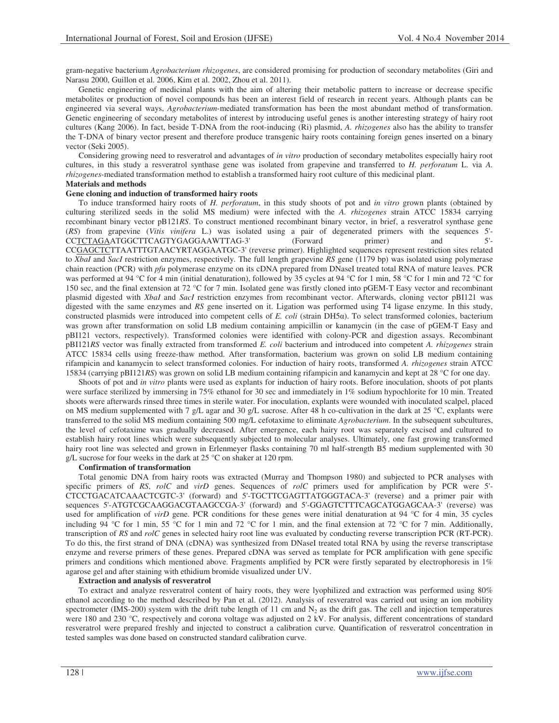gram-negative bacterium *Agrobacterium rhizogenes*, are considered promising for production of secondary metabolites (Giri and Narasu 2000, Guillon et al. 2006, Kim et al. 2002, Zhou et al. 2011).

Genetic engineering of medicinal plants with the aim of altering their metabolic pattern to increase or decrease specific metabolites or production of novel compounds has been an interest field of research in recent years. Although plants can be engineered via several ways, *Agrobacterium*-mediated transformation has been the most abundant method of transformation. Genetic engineering of secondary metabolites of interest by introducing useful genes is another interesting strategy of hairy root cultures (Kang 2006). In fact, beside T-DNA from the root-inducing (Ri) plasmid, *A. rhizogenes* also has the ability to transfer the T-DNA of binary vector present and therefore produce transgenic hairy roots containing foreign genes inserted on a binary vector (Seki 2005).

Considering growing need to resveratrol and advantages of *in vitro* production of secondary metabolites especially hairy root cultures, in this study a resveratrol synthase gene was isolated from grapevine and transferred to *H. perforatum* L. via *A. rhizogenes*-mediated transformation method to establish a transformed hairy root culture of this medicinal plant.

# **Materials and methods**

## **Gene cloning and induction of transformed hairy roots**

To induce transformed hairy roots of *H. perforatum*, in this study shoots of pot and *in vitro* grown plants (obtained by culturing sterilized seeds in the solid MS medium) were infected with the *A. rhizogenes* strain ATCC 15834 carrying recombinant binary vector pB121*RS*. To construct mentioned recombinant binary vector, in brief, a resveratrol synthase gene (*RS*) from grapevine (*Vitis vinifera* L.) was isolated using a pair of degenerated primers with the sequences 5'- CCTCTAGAATGGCTTCAGTYGAGGAAWTTAG-3' (Forward primer) and 5'- CCGAGCTCTTAATTTGTAACYRTAGGAATGC-3' (reverse primer). Highlighted sequences represent restriction sites related to *XbaI* and *SacI* restriction enzymes, respectively. The full length grapevine *RS* gene (1179 bp) was isolated using polymerase chain reaction (PCR) with *pfu* polymerase enzyme on its cDNA prepared from DNaseI treated total RNA of mature leaves. PCR was performed at 94 °C for 4 min (initial denaturation), followed by 35 cycles at 94 °C for 1 min, 58 °C for 1 min and 72 °C for 150 sec, and the final extension at 72 °C for 7 min. Isolated gene was firstly cloned into pGEM-T Easy vector and recombinant plasmid digested with *XbaI* and *SacI* restriction enzymes from recombinant vector. Afterwards, cloning vector pBI121 was digested with the same enzymes and *RS* gene inserted on it. Ligation was performed using T4 ligase enzyme. In this study, constructed plasmids were introduced into competent cells of *E. coli* (strain DH5a). To select transformed colonies, bacterium was grown after transformation on solid LB medium containing ampicillin or kanamycin (in the case of pGEM-T Easy and pBI121 vectors, respectively). Transformed colonies were identified with colony-PCR and digestion assays. Recombinant pBI121*RS* vector was finally extracted from transformed *E. coli* bacterium and introduced into competent *A. rhizogenes* strain ATCC 15834 cells using freeze-thaw method. After transformation, bacterium was grown on solid LB medium containing rifampicin and kanamycin to select transformed colonies. For induction of hairy roots, transformed *A. rhizogenes* strain ATCC 15834 (carrying pBI121*RS*) was grown on solid LB medium containing rifampicin and kanamycin and kept at 28 °C for one day.

Shoots of pot and *in vitro* plants were used as explants for induction of hairy roots. Before inoculation, shoots of pot plants were surface sterilized by immersing in 75% ethanol for 30 sec and immediately in 1% sodium hypochlorite for 10 min. Treated shoots were afterwards rinsed three times in sterile water. For inoculation, explants were wounded with inoculated scalpel, placed on MS medium supplemented with 7 g/L agar and 30 g/L sucrose. After 48 h co-cultivation in the dark at 25 °C, explants were transferred to the solid MS medium containing 500 mg/L cefotaxime to eliminate *Agrobacterium*. In the subsequent subcultures, the level of cefotaxime was gradually decreased. After emergence, each hairy root was separately excised and cultured to establish hairy root lines which were subsequently subjected to molecular analyses. Ultimately, one fast growing transformed hairy root line was selected and grown in Erlenmeyer flasks containing 70 ml half-strength B5 medium supplemented with 30 g/L sucrose for four weeks in the dark at 25 °C on shaker at 120 rpm.

#### **Confirmation of transformation**

Total genomic DNA from hairy roots was extracted (Murray and Thompson 1980) and subjected to PCR analyses with specific primers of *RS*, *rolC* and *virD* genes. Sequences of *rolC* primers used for amplification by PCR were 5'- CTCCTGACATCAAACTCGTC-3' (forward) and 5'-TGCTTCGAGTTATGGGTACA-3' (reverse) and a primer pair with sequences 5'-ATGTCGCAAGGACGTAAGCCGA-3' (forward) and 5'-GGAGTCTTTCAGCATGGAGCAA-3' (reverse) was used for amplification of *virD* gene. PCR conditions for these genes were initial denaturation at 94 °C for 4 min, 35 cycles including 94 °C for 1 min, 55 °C for 1 min and 72 °C for 1 min, and the final extension at 72 °C for 7 min. Additionally, transcription of *RS* and *rolC* genes in selected hairy root line was evaluated by conducting reverse transcription PCR (RT-PCR). To do this, the first strand of DNA (cDNA) was synthesized from DNaseI treated total RNA by using the reverse transcriptase enzyme and reverse primers of these genes. Prepared cDNA was served as template for PCR amplification with gene specific primers and conditions which mentioned above. Fragments amplified by PCR were firstly separated by electrophoresis in 1% agarose gel and after staining with ethidium bromide visualized under UV.

#### **Extraction and analysis of resveratrol**

To extract and analyze resveratrol content of hairy roots, they were lyophilized and extraction was performed using 80% ethanol according to the method described by Pan et al. (2012). Analysis of resveratrol was carried out using an ion mobility spectrometer (IMS-200) system with the drift tube length of 11 cm and  $N_2$  as the drift gas. The cell and injection temperatures were 180 and 230 °C, respectively and corona voltage was adjusted on 2 kV. For analysis, different concentrations of standard resveratrol were prepared freshly and injected to construct a calibration curve. Quantification of resveratrol concentration in tested samples was done based on constructed standard calibration curve.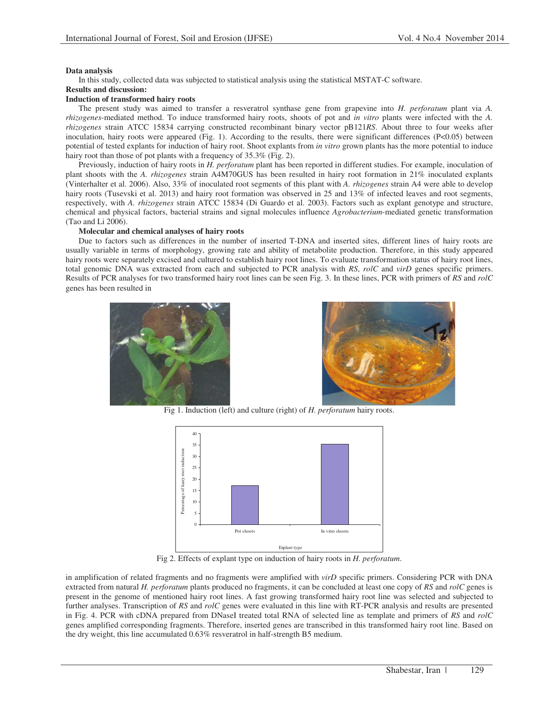## **Data analysis**

In this study, collected data was subjected to statistical analysis using the statistical MSTAT-C software.

# **Results and discussion:**

## **Induction of transformed hairy roots**

The present study was aimed to transfer a resveratrol synthase gene from grapevine into *H. perforatum* plant via *A. rhizogenes*-mediated method. To induce transformed hairy roots, shoots of pot and *in vitro* plants were infected with the *A. rhizogenes* strain ATCC 15834 carrying constructed recombinant binary vector pB121*RS*. About three to four weeks after inoculation, hairy roots were appeared (Fig. 1). According to the results, there were significant differences (P<0.05) between potential of tested explants for induction of hairy root. Shoot explants from *in vitro* grown plants has the more potential to induce hairy root than those of pot plants with a frequency of 35.3% (Fig. 2).

Previously, induction of hairy roots in *H. perforatum* plant has been reported in different studies. For example, inoculation of plant shoots with the *A. rhizogenes* strain A4M70GUS has been resulted in hairy root formation in 21% inoculated explants (Vinterhalter et al. 2006). Also, 33% of inoculated root segments of this plant with *A. rhizogenes* strain A4 were able to develop hairy roots (Tusevski et al. 2013) and hairy root formation was observed in 25 and 13% of infected leaves and root segments, respectively, with *A. rhizogenes* strain ATCC 15834 (Di Guardo et al. 2003). Factors such as explant genotype and structure, chemical and physical factors, bacterial strains and signal molecules influence *Agrobacterium*-mediated genetic transformation (Tao and Li 2006).

## **Molecular and chemical analyses of hairy roots**

Due to factors such as differences in the number of inserted T-DNA and inserted sites, different lines of hairy roots are usually variable in terms of morphology, growing rate and ability of metabolite production. Therefore, in this study appeared hairy roots were separately excised and cultured to establish hairy root lines. To evaluate transformation status of hairy root lines, total genomic DNA was extracted from each and subjected to PCR analysis with *RS*, *rolC* and *virD* genes specific primers. Results of PCR analyses for two transformed hairy root lines can be seen Fig. 3. In these lines, PCR with primers of *RS* and *rolC* genes has been resulted in





Fig 1. Induction (left) and culture (right) of *H. perforatum* hairy roots.



Fig 2. Effects of explant type on induction of hairy roots in *H. perforatum*.

in amplification of related fragments and no fragments were amplified with *virD* specific primers. Considering PCR with DNA extracted from natural *H. perforatum* plants produced no fragments, it can be concluded at least one copy of *RS* and *rolC* genes is present in the genome of mentioned hairy root lines. A fast growing transformed hairy root line was selected and subjected to further analyses. Transcription of *RS* and *rolC* genes were evaluated in this line with RT-PCR analysis and results are presented in Fig. 4. PCR with cDNA prepared from DNaseI treated total RNA of selected line as template and primers of *RS* and *rolC*  genes amplified corresponding fragments. Therefore, inserted genes are transcribed in this transformed hairy root line. Based on the dry weight, this line accumulated 0.63% resveratrol in half-strength B5 medium.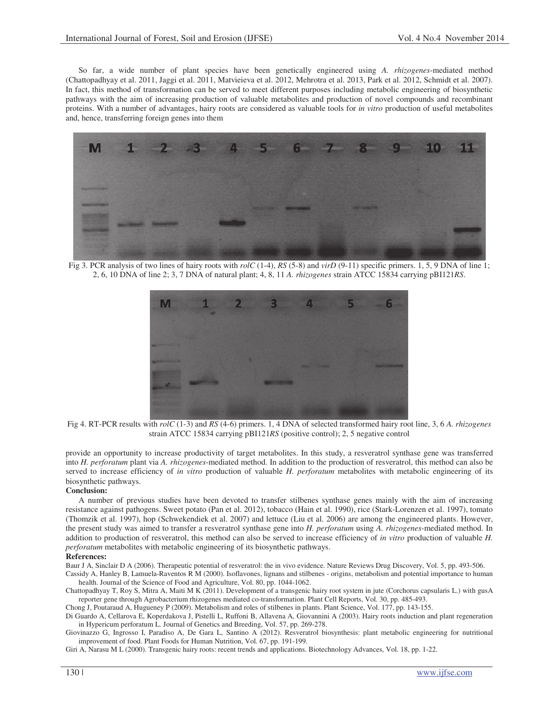So far, a wide number of plant species have been genetically engineered using *A. rhizogenes*-mediated method (Chattopadhyay et al. 2011, Jaggi et al. 2011, Matvieieva et al. 2012, Mehrotra et al. 2013, Park et al. 2012, Schmidt et al. 2007). In fact, this method of transformation can be served to meet different purposes including metabolic engineering of biosynthetic pathways with the aim of increasing production of valuable metabolites and production of novel compounds and recombinant proteins. With a number of advantages, hairy roots are considered as valuable tools for *in vitro* production of useful metabolites and, hence, transferring foreign genes into them



Fig 3. PCR analysis of two lines of hairy roots with *rolC* (1-4), *RS* (5-8) and *virD* (9-11) specific primers. 1, 5, 9 DNA of line 1; 2, 6, 10 DNA of line 2; 3, 7 DNA of natural plant; 4, 8, 11 *A. rhizogenes* strain ATCC 15834 carrying pBI121*RS*.



Fig 4. RT-PCR results with *rolC* (1-3) and *RS* (4-6) primers. 1, 4 DNA of selected transformed hairy root line, 3, 6 *A. rhizogenes* strain ATCC 15834 carrying pBI121*RS* (positive control); 2, 5 negative control

provide an opportunity to increase productivity of target metabolites. In this study, a resveratrol synthase gene was transferred into *H. perforatum* plant via *A. rhizogenes*-mediated method. In addition to the production of resveratrol, this method can also be served to increase efficiency of *in vitro* production of valuable *H. perforatum* metabolites with metabolic engineering of its biosynthetic pathways.

#### **Conclusion:**

A number of previous studies have been devoted to transfer stilbenes synthase genes mainly with the aim of increasing resistance against pathogens. Sweet potato (Pan et al. 2012), tobacco (Hain et al. 1990), rice (Stark-Lorenzen et al. 1997), tomato (Thomzik et al. 1997), hop (Schwekendiek et al. 2007) and lettuce (Liu et al. 2006) are among the engineered plants. However, the present study was aimed to transfer a resveratrol synthase gene into *H. perforatum* using *A. rhizogenes*-mediated method. In addition to production of resveratrol, this method can also be served to increase efficiency of *in vitro* production of valuable *H. perforatum* metabolites with metabolic engineering of its biosynthetic pathways.

## **References:**

Baur J A, Sinclair D A (2006). Therapeutic potential of resveratrol: the in vivo evidence. Nature Reviews Drug Discovery, Vol. 5, pp. 493-506.

Cassidy A, Hanley B, Lamuela-Raventos R M (2000). Isoflavones, lignans and stilbenes - origins, metabolism and potential importance to human health. Journal of the Science of Food and Agriculture, Vol. 80, pp. 1044-1062.

Chattopadhyay T, Roy S, Mitra A, Maiti M K (2011). Development of a transgenic hairy root system in jute (Corchorus capsularis L.) with gusA reporter gene through Agrobacterium rhizogenes mediated co-transformation. Plant Cell Reports, Vol. 30, pp. 485-493.

Chong J, Poutaraud A, Hugueney P (2009). Metabolism and roles of stilbenes in plants. Plant Science, Vol. 177, pp. 143-155.

Di Guardo A, Cellarova E, Koperdakova J, Pistelli L, Ruffoni B, Allavena A, Giovannini A (2003). Hairy roots induction and plant regeneration in Hypericum perforatum L. Journal of Genetics and Breeding, Vol. 57, pp. 269-278.

Giovinazzo G, Ingrosso I, Paradiso A, De Gara L, Santino A (2012). Resveratrol biosynthesis: plant metabolic engineering for nutritional improvement of food. Plant Foods for Human Nutrition, Vol. 67, pp. 191-199.

Giri A, Narasu M L (2000). Transgenic hairy roots: recent trends and applications. Biotechnology Advances, Vol. 18, pp. 1-22.